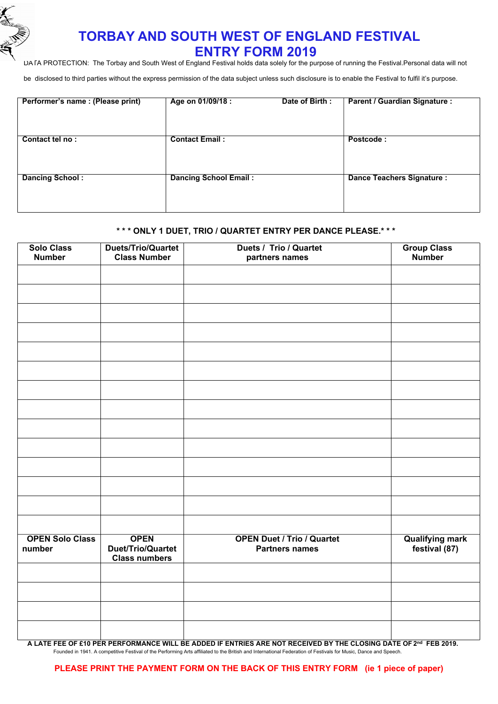

## **TORBAY AND SOUTH WEST OF ENGLAND FESTIVAL ENTRY FORM 2019**

DATA PROTECTION: The Torbay and South West of England Festival holds data solely for the purpose of running the Festival.Personal data will not

be disclosed to third parties without the express permission of the data subject unless such disclosure is to enable the Festival to fulfil it's purpose.

| Performer's name: (Please print) | Age on 01/09/18 :            | Date of Birth: | <b>Parent / Guardian Signature:</b> |
|----------------------------------|------------------------------|----------------|-------------------------------------|
| Contact tel no:                  | <b>Contact Email:</b>        |                | Postcode:                           |
| <b>Dancing School:</b>           | <b>Dancing School Email:</b> |                | <b>Dance Teachers Signature:</b>    |

## **\* \* \* ONLY 1 DUET, TRIO / QUARTET ENTRY PER DANCE PLEASE.\* \* \***

| <b>Solo Class</b><br><b>Number</b> | Duets/Trio/Quartet<br><b>Class Number</b>                | <b>Duets / Trio / Quartet</b><br>partners names            | <b>Group Class</b><br><b>Number</b>     |
|------------------------------------|----------------------------------------------------------|------------------------------------------------------------|-----------------------------------------|
|                                    |                                                          |                                                            |                                         |
|                                    |                                                          |                                                            |                                         |
|                                    |                                                          |                                                            |                                         |
|                                    |                                                          |                                                            |                                         |
|                                    |                                                          |                                                            |                                         |
|                                    |                                                          |                                                            |                                         |
|                                    |                                                          |                                                            |                                         |
|                                    |                                                          |                                                            |                                         |
|                                    |                                                          |                                                            |                                         |
|                                    |                                                          |                                                            |                                         |
|                                    |                                                          |                                                            |                                         |
|                                    |                                                          |                                                            |                                         |
|                                    |                                                          |                                                            |                                         |
|                                    |                                                          |                                                            |                                         |
| <b>OPEN Solo Class</b><br>number   | <b>OPEN</b><br>Duet/Trio/Quartet<br><b>Class numbers</b> | <b>OPEN Duet / Trio / Quartet</b><br><b>Partners names</b> | <b>Qualifying mark</b><br>festival (87) |
|                                    |                                                          |                                                            |                                         |
|                                    |                                                          |                                                            |                                         |
|                                    |                                                          |                                                            |                                         |
|                                    |                                                          |                                                            |                                         |

A LATE FEE OF £10 PER PERFORMANCE WILL BE ADDED IF ENTRIES ARE NOT RECEIVED BY THE CLOSING DATE OF 2™ FEB 2019. Founded in 1941. A competitive Festival of the Performing Arts affiliated to the British and International Federation of Festivals for Music, Dance and Speech.